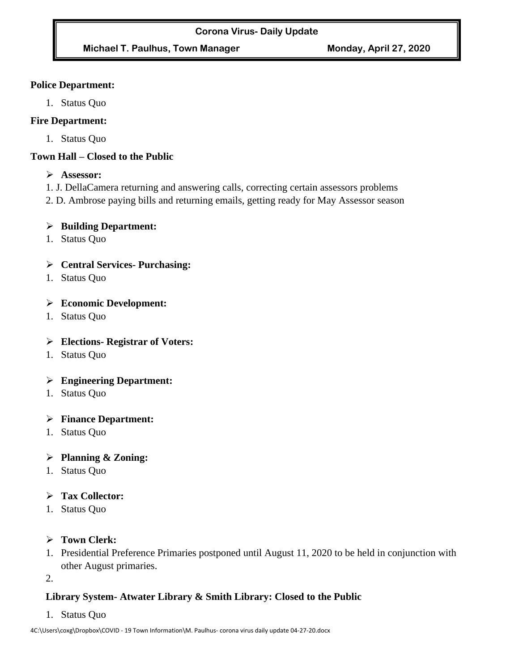#### **Corona Virus- Daily Update**

## **Michael T. Paulhus, Town Manager Monday, April 27, 2020**

#### **Police Department:**

1. Status Quo

## **Fire Department:**

1. Status Quo

## **Town Hall – Closed to the Public**

- ➢ **Assessor:**
- 1. J. DellaCamera returning and answering calls, correcting certain assessors problems
- 2. D. Ambrose paying bills and returning emails, getting ready for May Assessor season

#### ➢ **Building Department:**

1. Status Quo

## ➢ **Central Services- Purchasing:**

1. Status Quo

#### ➢ **Economic Development:**

1. Status Quo

## ➢ **Elections- Registrar of Voters:**

1. Status Quo

## ➢ **Engineering Department:**

1. Status Quo

## ➢ **Finance Department:**

1. Status Quo

## ➢ **Planning & Zoning:**

1. Status Quo

## ➢ **Tax Collector:**

1. Status Quo

#### ➢ **Town Clerk:**

- 1. Presidential Preference Primaries postponed until August 11, 2020 to be held in conjunction with other August primaries.
- 2.

# **Library System- Atwater Library & Smith Library: Closed to the Public**

1. Status Quo